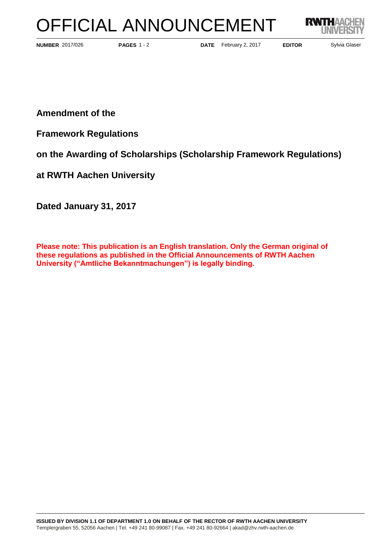## OFFICIAL ANNOUNCEMENT



**PAGES** 1 - 2

**NUMBER** 2017/026 **PAGES** 1 - 2 **DATE** February 2, 2017 **EDITOR** Sylvia Glaser

**Amendment of the** 

**Framework Regulations** 

**on the Awarding of Scholarships (Scholarship Framework Regulations)**

**at RWTH Aachen University** 

**Dated January 31, 2017**

**Please note: This publication is an English translation. Only the German original of these regulations as published in the Official Announcements of RWTH Aachen University ("Amtliche Bekanntmachungen") is legally binding.**